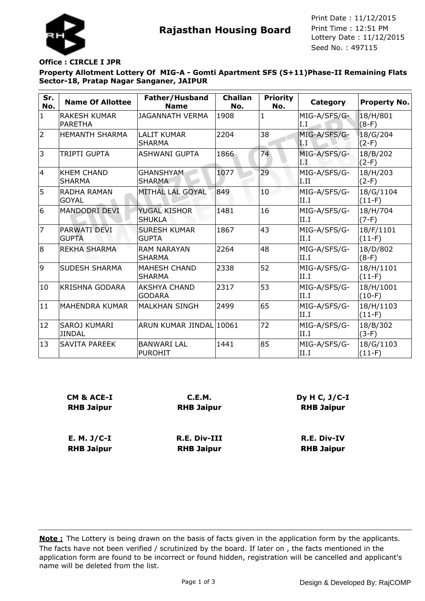

**Rajasthan Housing Board** Print Time : 12:51 PM<br>Lottery Date : 11/12/2015 Seed No. : 497115 Print Date : 11/12/2015 Print Time : 12:51 PM

## **Office : CIRCLE I JPR**

**Property Allotment Lottery Of MIG-A - Gomti Apartment SFS (S+11)Phase-II Remaining Flats Sector-18, Pratap Nagar Sanganer, JAIPUR**

| Sr.<br>No.     | <b>Name Of Allottee</b>               | Father/Husband<br><b>Name</b>        | <b>Challan</b><br>No. | <b>Priority</b><br>No. | Category                     | <b>Property No.</b>   |
|----------------|---------------------------------------|--------------------------------------|-----------------------|------------------------|------------------------------|-----------------------|
| $\mathbf{1}$   | <b>RAKESH KUMAR</b><br><b>PARETHA</b> | <b>JAGANNATH VERMA</b>               | 1908                  | 1                      | MIG-A/SFS/G-<br>I.I          | 18/H/801<br>$(8-F)$   |
| $\overline{2}$ | <b>HEMANTH SHARMA</b>                 | <b>LALIT KUMAR</b><br>ISHARMA        | 2204                  | 38                     | MIG-A/SFS/G-<br>$\mathbf{L}$ | 18/G/204<br>$(2-F)$   |
| 3              | TRIPTI GUPTA                          | ASHWANI GUPTA                        | 1866                  | 74                     | MIG-A/SFS/G-<br>喺            | 18/B/202<br>$(2-F)$   |
| 14             | <b>KHEM CHAND</b><br><b>SHARMA</b>    | <b>GHANSHYAM</b><br><b>SHARMA</b>    | 1077                  | 29                     | MIG-A/SFS/G-<br>أقلابه       | 18/H/203<br>$(2-F)$   |
| 5              | <b>RADHA RAMAN</b><br><b>GOYAL</b>    | MITHAL LAL GOYAL                     | 849                   | 10                     | MIG-A/SFS/G-<br>II.I         | 18/G/1104<br>$(11-F)$ |
| 6              | MANDODRI DEVI                         | <b>YUGAL KISHOR</b><br><b>SHUKLA</b> | 1481                  | 16                     | MIG-A/SFS/G-<br>II.I         | 18/H/704<br>$(7-F)$   |
| $\overline{7}$ | PARWATI DEVI<br><b>GUPTA</b>          | <b>SURESH KUMAR</b><br><b>GUPTA</b>  | 1867                  | 43                     | MIG-A/SFS/G-<br>II.I         | 18/F/1101<br>$(11-F)$ |
| 8              | <b>REKHA SHARMA</b>                   | <b>RAM NARAYAN</b><br><b>SHARMA</b>  | 2264                  | 48                     | MIG-A/SFS/G-<br>II.I         | 18/D/802<br>$(8-F)$   |
| g              | <b>SUDESH SHARMA</b>                  | <b>MAHESH CHAND</b><br><b>SHARMA</b> | 2338                  | 52                     | MIG-A/SFS/G-<br>II.I         | 18/H/1101<br>$(11-F)$ |
| 10             | <b>KRISHNA GODARA</b>                 | AKSHYA CHAND<br><b>GODARA</b>        | 2317                  | 53                     | MIG-A/SFS/G-<br>II.I         | 18/H/1001<br>$(10-F)$ |
| 11             | <b>MAHENDRA KUMAR</b>                 | <b>MALKHAN SINGH</b>                 | 2499                  | 65                     | MIG-A/SFS/G-<br>II.I         | 18/H/1103<br>$(11-F)$ |
| 12             | <b>SAROJ KUMARI</b><br><b>JINDAL</b>  | ARUN KUMAR JINDAL 10061              |                       | 72                     | MIG-A/SFS/G-<br>II.I         | 18/B/302<br>$(3-F)$   |
| 13             | <b>SAVITA PAREEK</b>                  | <b>BANWARI LAL</b><br> PUROHIT       | 1441                  | 85                     | MIG-A/SFS/G-<br>II.I         | 18/G/1103<br>$(11-F)$ |

| <b>CM &amp; ACE-I</b> | C.E.M.              | Dy $H C$ , $J/C-I$ |
|-----------------------|---------------------|--------------------|
| <b>RHB Jaipur</b>     | <b>RHB Jaipur</b>   | <b>RHB Jaipur</b>  |
| $E. M. J/C-I$         | <b>R.E. Div-III</b> | <b>R.E. Div-IV</b> |
| <b>RHB Jaipur</b>     | <b>RHB Jaipur</b>   | <b>RHB Jaipur</b>  |

The facts have not been verified / scrutinized by the board. If later on , the facts mentioned in the application form are found to be incorrect or found hidden, registration will be cancelled and applicant's name will be deleted from the list. **Note :** The Lottery is being drawn on the basis of facts given in the application form by the applicants.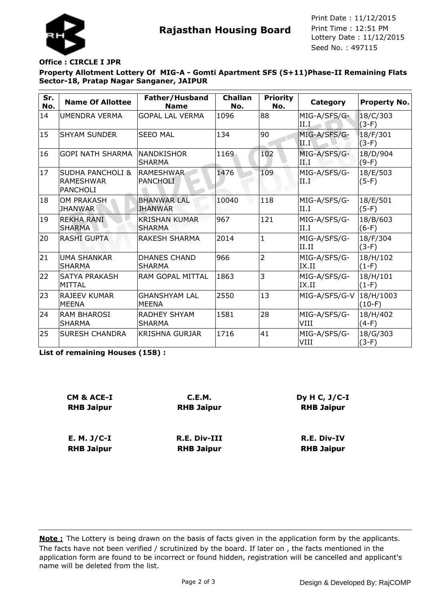

**Rajasthan Housing Board** Print Time : 12:51 PM<br>Lottery Date : 11/12/2015 Seed No. : 497115 Print Date : 11/12/2015 Print Time : 12:51 PM

## **Office : CIRCLE I JPR**

**Property Allotment Lottery Of MIG-A - Gomti Apartment SFS (S+11)Phase-II Remaining Flats Sector-18, Pratap Nagar Sanganer, JAIPUR**

| Sr.<br>No. | <b>Name Of Allottee</b>                                            | Father/Husband<br><b>Name</b>         | <b>Challan</b><br>No. | <b>Priority</b><br>No. | Category              | Property No.          |
|------------|--------------------------------------------------------------------|---------------------------------------|-----------------------|------------------------|-----------------------|-----------------------|
| 14         | UMENDRA VERMA                                                      | <b>GOPAL LAL VERMA</b>                | 1096                  | 88                     | MIG-A/SFS/G-<br>II.I  | 18/C/303<br>$(3-F)$   |
| 15         | <b>SHYAM SUNDER</b>                                                | <b>SFFO MAL</b>                       | 134                   | 90                     | MIG-A/SFS/G-<br>II.I  | 18/F/301<br>$(3-F)$   |
| 16         | <b>GOPI NATH SHARMA</b>                                            | <b>NANDKISHOR</b><br><b>SHARMA</b>    | 1169                  | 102                    | MIG-A/SFS/G-<br>ТŘ    | 18/D/904<br>$(9-F)$   |
| 17         | <b>SUDHA PANCHOLI &amp;</b><br><b>RAMESHWAR</b><br><b>PANCHOLI</b> | <b>RAMESHWAR</b><br><b>PANCHOLI</b>   | 1476                  | 109                    | MIG-A/SFS/G-<br>d Pa  | 18/E/503<br>$(5-F)$   |
| 18         | <b>OM PRAKASH</b><br><b>JHANWAR</b>                                | <b>BHANWAR LAL</b><br><b>JHANWAR</b>  | 10040                 | 118                    | MIG-A/SFS/G-<br>II.I  | 18/E/501<br>$(5-F)$   |
| 19         | <b>REKHA RANI</b><br><b>SHARMA</b>                                 | <b>KRISHAN KUMAR</b><br><b>SHARMA</b> | 967                   | 121                    | MIG-A/SFS/G-<br>II.I  | 18/B/603<br>$(6-F)$   |
| 20         | <b>RASHI GUPTA</b>                                                 | <b>RAKESH SHARMA</b>                  | 2014                  | $\mathbf{1}$           | MIG-A/SFS/G-<br>II.II | 18/F/304<br>$(3-F)$   |
| 21         | <b>UMA SHANKAR</b><br><b>SHARMA</b>                                | <b>DHANES CHAND</b><br><b>SHARMA</b>  | 966                   | $\overline{2}$         | MIG-A/SFS/G-<br>IX.II | 18/H/102<br>$(1-F)$   |
| 22         | <b>SATYA PRAKASH</b><br>MITTAL                                     | RAM GOPAL MITTAL                      | 1863                  | 3                      | MIG-A/SFS/G-<br>IX.II | 18/H/101<br>$(1-F)$   |
| 23         | <b>RAJEEV KUMAR</b><br><b>MEENA</b>                                | <b>GHANSHYAM LAL</b><br><b>MEENA</b>  | 2550                  | 13                     | MIG-A/SFS/G-V         | 18/H/1003<br>$(10-F)$ |
| 24         | IRAM BHAROSI<br><b>SHARMA</b>                                      | <b>RADHEY SHYAM</b><br><b>SHARMA</b>  | 1581                  | 28                     | MIG-A/SFS/G-<br>VIII  | 18/H/402<br>$(4-F)$   |
| 25         | <b>SURESH CHANDRA</b>                                              | KRISHNA GURJAR                        | 1716                  | 41                     | MIG-A/SFS/G-<br>VIII  | 18/G/303<br>$(3-F)$   |

**List of remaining Houses (158) :**

| <b>CM &amp; ACE-I</b> | C.E.M.              | Dy H C, $J/C-I$    |
|-----------------------|---------------------|--------------------|
| <b>RHB Jaipur</b>     | <b>RHB Jaipur</b>   | <b>RHB Jaipur</b>  |
|                       |                     |                    |
| $E. M. J/C-I$         | <b>R.E. Div-III</b> | <b>R.E. Div-IV</b> |
| <b>RHB Jaipur</b>     | <b>RHB Jaipur</b>   | <b>RHB Jaipur</b>  |

**18/H/1004** The facts have not been verified / scrutinized by the board. If later on , the facts mentioned in the application form are found to be incorrect or found hidden, registration will be cancelled and applicant's name will be deleted from the list. **Note :** The Lottery is being drawn on the basis of facts given in the application form by the applicants.